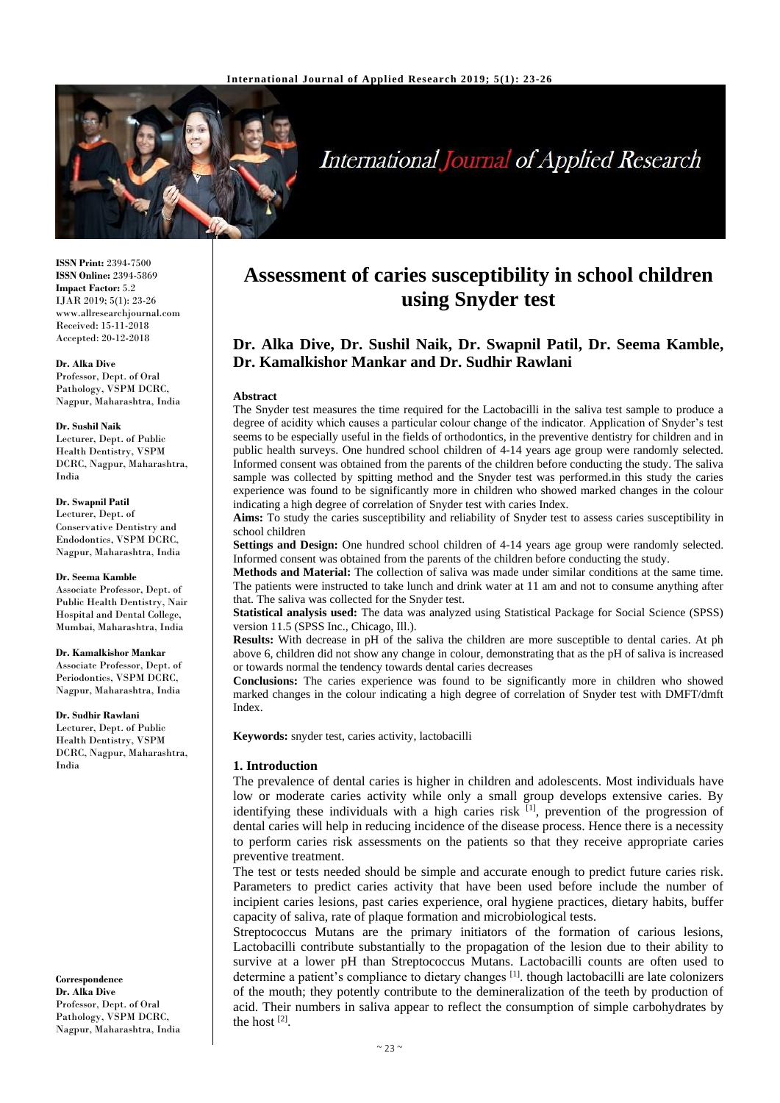

# **International Journal of Applied Research**

**ISSN Print:** 2394-7500 **ISSN Online:** 2394-5869 **Impact Factor:** 5.2 IJAR 2019; 5(1): 23-26 www.allresearchjournal.com Received: 15-11-2018 Accepted: 20-12-2018

### **Dr. Alka Dive**

Professor, Dept. of Oral Pathology, VSPM DCRC, Nagpur, Maharashtra, India

#### **Dr. Sushil Naik**

Lecturer, Dept. of Public Health Dentistry, VSPM DCRC, Nagpur, Maharashtra, India

#### **Dr. Swapnil Patil**

Lecturer, Dept. of Conservative Dentistry and Endodontics, VSPM DCRC, Nagpur, Maharashtra, India

### **Dr. Seema Kamble**

Associate Professor, Dept. of Public Health Dentistry, Nair Hospital and Dental College, Mumbai, Maharashtra, India

### **Dr. Kamalkishor Mankar**

Associate Professor, Dept. of Periodontics, VSPM DCRC, Nagpur, Maharashtra, India

#### **Dr. Sudhir Rawlani**

Lecturer, Dept. of Public Health Dentistry, VSPM DCRC, Nagpur, Maharashtra, India

**Correspondence Dr. Alka Dive** Professor, Dept. of Oral Pathology, VSPM DCRC, Nagpur, Maharashtra, India

## **Assessment of caries susceptibility in school children using Snyder test**

### **Dr. Alka Dive, Dr. Sushil Naik, Dr. Swapnil Patil, Dr. Seema Kamble, Dr. Kamalkishor Mankar and Dr. Sudhir Rawlani**

### **Abstract**

The Snyder test measures the time required for the Lactobacilli in the saliva test sample to produce a degree of acidity which causes a particular colour change of the indicator. Application of Snyder's test seems to be especially useful in the fields of orthodontics, in the preventive dentistry for children and in public health surveys. One hundred school children of 4-14 years age group were randomly selected. Informed consent was obtained from the parents of the children before conducting the study. The saliva sample was collected by spitting method and the Snyder test was performed.in this study the caries experience was found to be significantly more in children who showed marked changes in the colour indicating a high degree of correlation of Snyder test with caries Index.

**Aims:** To study the caries susceptibility and reliability of Snyder test to assess caries susceptibility in school children

**Settings and Design:** One hundred school children of 4-14 years age group were randomly selected. Informed consent was obtained from the parents of the children before conducting the study.

**Methods and Material:** The collection of saliva was made under similar conditions at the same time. The patients were instructed to take lunch and drink water at 11 am and not to consume anything after that. The saliva was collected for the Snyder test.

**Statistical analysis used:** The data was analyzed using Statistical Package for Social Science (SPSS) version 11.5 (SPSS Inc., Chicago, Ill.).

**Results:** With decrease in pH of the saliva the children are more susceptible to dental caries. At ph above 6, children did not show any change in colour, demonstrating that as the pH of saliva is increased or towards normal the tendency towards dental caries decreases

**Conclusions:** The caries experience was found to be significantly more in children who showed marked changes in the colour indicating a high degree of correlation of Snyder test with DMFT/dmft Index.

**Keywords:** snyder test, caries activity, lactobacilli

### **1. Introduction**

The prevalence of dental caries is higher in children and adolescents. Most individuals have low or moderate caries activity while only a small group develops extensive caries. By identifying these individuals with a high caries risk  $[1]$ , prevention of the progression of dental caries will help in reducing incidence of the disease process. Hence there is a necessity to perform caries risk assessments on the patients so that they receive appropriate caries preventive treatment.

The test or tests needed should be simple and accurate enough to predict future caries risk. Parameters to predict caries activity that have been used before include the number of incipient caries lesions, past caries experience, oral hygiene practices, dietary habits, buffer capacity of saliva, rate of plaque formation and microbiological tests.

Streptococcus Mutans are the primary initiators of the formation of carious lesions, Lactobacilli contribute substantially to the propagation of the lesion due to their ability to survive at a lower pH than Streptococcus Mutans. Lactobacilli counts are often used to determine a patient's compliance to dietary changes [1]. though lactobacilli are late colonizers of the mouth; they potently contribute to the demineralization of the teeth by production of acid. Their numbers in saliva appear to reflect the consumption of simple carbohydrates by the host [2] .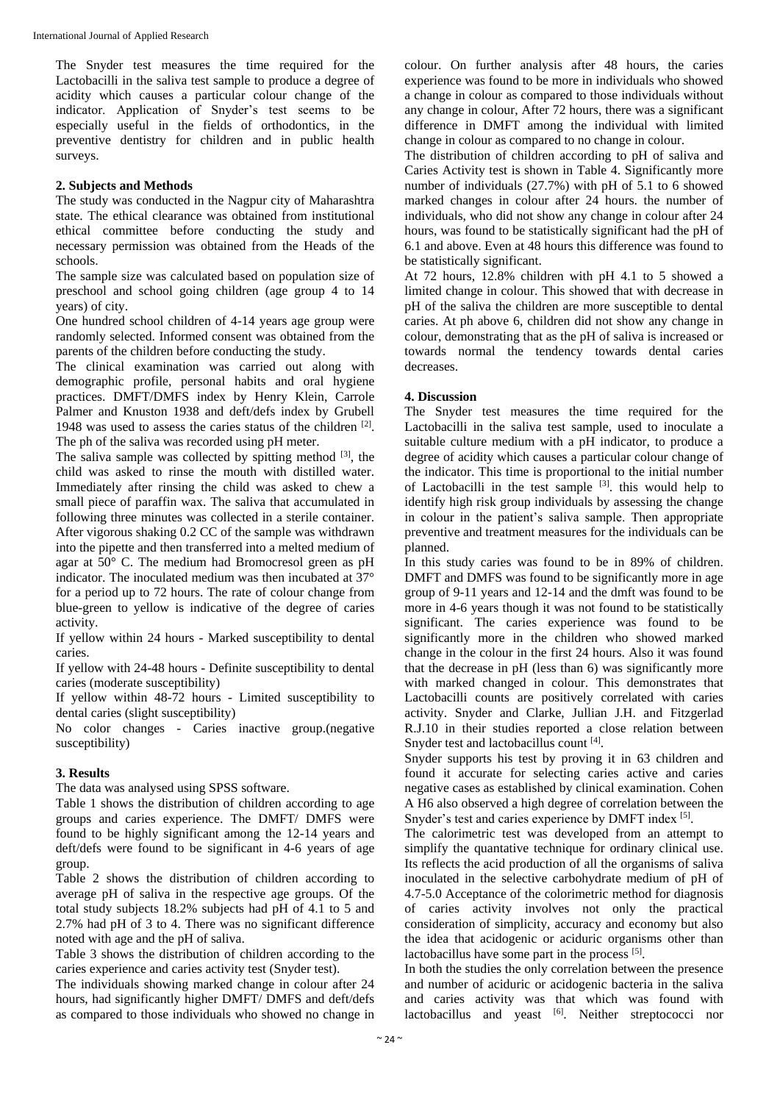The Snyder test measures the time required for the Lactobacilli in the saliva test sample to produce a degree of acidity which causes a particular colour change of the indicator. Application of Snyder's test seems to be especially useful in the fields of orthodontics, in the preventive dentistry for children and in public health surveys.

### **2. Subjects and Methods**

The study was conducted in the Nagpur city of Maharashtra state. The ethical clearance was obtained from institutional ethical committee before conducting the study and necessary permission was obtained from the Heads of the schools.

The sample size was calculated based on population size of preschool and school going children (age group 4 to 14 years) of city.

One hundred school children of 4-14 years age group were randomly selected. Informed consent was obtained from the parents of the children before conducting the study.

The clinical examination was carried out along with demographic profile, personal habits and oral hygiene practices. DMFT/DMFS index by Henry Klein, Carrole Palmer and Knuston 1938 and deft/defs index by Grubell 1948 was used to assess the caries status of the children [2]. The ph of the saliva was recorded using pH meter.

The saliva sample was collected by spitting method  $[3]$ , the child was asked to rinse the mouth with distilled water. Immediately after rinsing the child was asked to chew a small piece of paraffin wax. The saliva that accumulated in following three minutes was collected in a sterile container. After vigorous shaking 0.2 CC of the sample was withdrawn into the pipette and then transferred into a melted medium of agar at 50° C. The medium had Bromocresol green as pH indicator. The inoculated medium was then incubated at 37° for a period up to 72 hours. The rate of colour change from blue-green to yellow is indicative of the degree of caries activity.

If yellow within 24 hours - Marked susceptibility to dental caries.

If yellow with 24-48 hours - Definite susceptibility to dental caries (moderate susceptibility)

If yellow within 48-72 hours - Limited susceptibility to dental caries (slight susceptibility)

No color changes - Caries inactive group.(negative susceptibility)

### **3. Results**

The data was analysed using SPSS software.

Table 1 shows the distribution of children according to age groups and caries experience. The DMFT/ DMFS were found to be highly significant among the 12-14 years and deft/defs were found to be significant in 4-6 years of age group.

Table 2 shows the distribution of children according to average pH of saliva in the respective age groups. Of the total study subjects 18.2% subjects had pH of 4.1 to 5 and 2.7% had pH of 3 to 4. There was no significant difference noted with age and the pH of saliva.

Table 3 shows the distribution of children according to the caries experience and caries activity test (Snyder test).

The individuals showing marked change in colour after 24 hours, had significantly higher DMFT/ DMFS and deft/defs as compared to those individuals who showed no change in colour. On further analysis after 48 hours, the caries experience was found to be more in individuals who showed a change in colour as compared to those individuals without any change in colour, After 72 hours, there was a significant difference in DMFT among the individual with limited change in colour as compared to no change in colour.

The distribution of children according to pH of saliva and Caries Activity test is shown in Table 4. Significantly more number of individuals (27.7%) with pH of 5.1 to 6 showed marked changes in colour after 24 hours. the number of individuals, who did not show any change in colour after 24 hours, was found to be statistically significant had the pH of 6.1 and above. Even at 48 hours this difference was found to be statistically significant.

At 72 hours, 12.8% children with pH 4.1 to 5 showed a limited change in colour. This showed that with decrease in pH of the saliva the children are more susceptible to dental caries. At ph above 6, children did not show any change in colour, demonstrating that as the pH of saliva is increased or towards normal the tendency towards dental caries decreases.

### **4. Discussion**

The Snyder test measures the time required for the Lactobacilli in the saliva test sample, used to inoculate a suitable culture medium with a pH indicator, to produce a degree of acidity which causes a particular colour change of the indicator. This time is proportional to the initial number of Lactobacilli in the test sample  $[3]$ . this would help to identify high risk group individuals by assessing the change in colour in the patient's saliva sample. Then appropriate preventive and treatment measures for the individuals can be planned.

In this study caries was found to be in 89% of children. DMFT and DMFS was found to be significantly more in age group of 9-11 years and 12-14 and the dmft was found to be more in 4-6 years though it was not found to be statistically significant. The caries experience was found to be significantly more in the children who showed marked change in the colour in the first 24 hours. Also it was found that the decrease in pH (less than 6) was significantly more with marked changed in colour. This demonstrates that Lactobacilli counts are positively correlated with caries activity. Snyder and Clarke, Jullian J.H. and Fitzgerlad R.J.10 in their studies reported a close relation between Snyder test and lactobacillus count [4].

Snyder supports his test by proving it in 63 children and found it accurate for selecting caries active and caries negative cases as established by clinical examination. Cohen A H6 also observed a high degree of correlation between the Snyder's test and caries experience by DMFT index [5].

The calorimetric test was developed from an attempt to simplify the quantative technique for ordinary clinical use. Its reflects the acid production of all the organisms of saliva inoculated in the selective carbohydrate medium of pH of 4.7-5.0 Acceptance of the colorimetric method for diagnosis of caries activity involves not only the practical consideration of simplicity, accuracy and economy but also the idea that acidogenic or aciduric organisms other than lactobacillus have some part in the process [5].

In both the studies the only correlation between the presence and number of aciduric or acidogenic bacteria in the saliva and caries activity was that which was found with lactobacillus and yeast <sup>[6]</sup>. Neither streptococci nor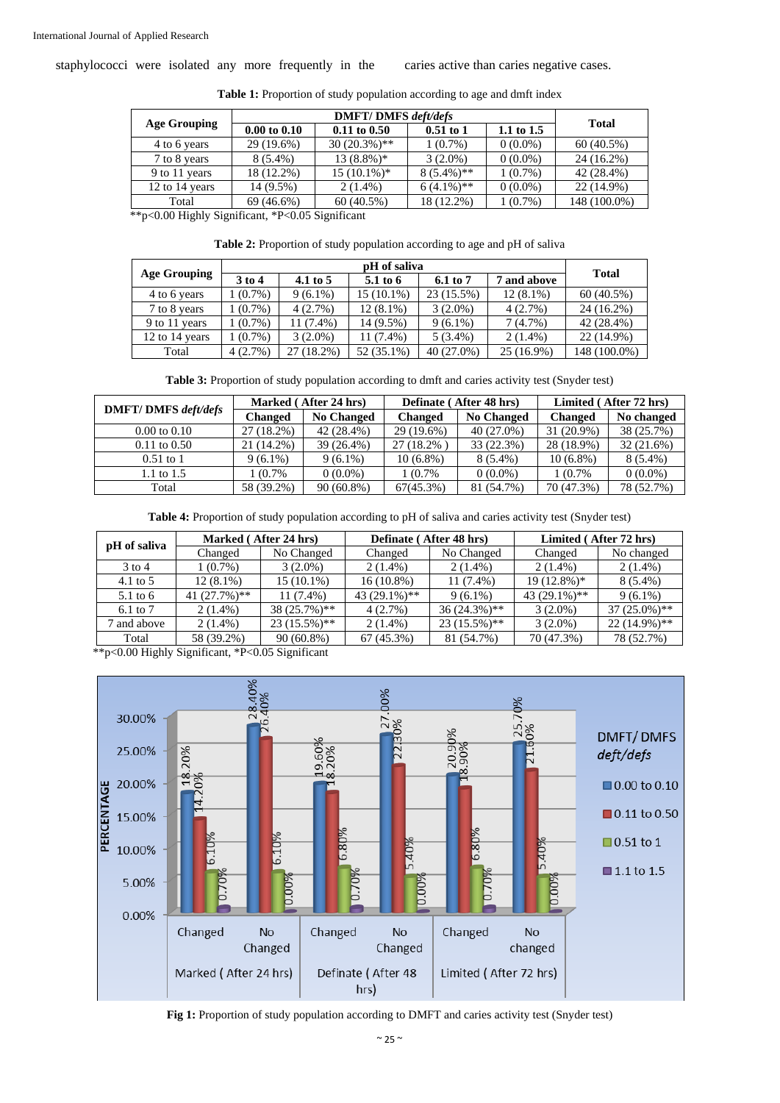staphylococci were isolated any more frequently in the caries active than caries negative cases.

| <b>Age Grouping</b> |                         |                  |               |              |              |
|---------------------|-------------------------|------------------|---------------|--------------|--------------|
|                     | $0.00 \text{ to } 0.10$ | $0.11$ to $0.50$ | $0.51$ to 1   | 1.1 to $1.5$ | <b>Total</b> |
| 4 to 6 years        | 29 (19.6%)              | $30(20.3\%)**$   | $1(0.7\%)$    | $0(0.0\%)$   | 60(40.5%)    |
| 7 to 8 years        | $8(5.4\%)$              | $13(8.8\%)*$     | $3(2.0\%)$    | $0(0.0\%)$   | 24 (16.2%)   |
| 9 to 11 years       | 18 (12.2%)              | $15(10.1\%)*$    | $8(5.4\%)**$  | $1(0.7\%)$   | 42 (28.4%)   |
| 12 to 14 years      | 14 (9.5%)               | $2(1.4\%)$       | $6(4.1\%)$ ** | $0(0.0\%)$   | 22 (14.9%)   |
| Total               | $69(46.6\%)$            | 60(40.5%)        | 18 (12.2%)    | $1(0.7\%)$   | 148 (100.0%) |

Table 1: Proportion of study population according to age and dmft index

\*\*p<0.00 Highly Significant, \*P<0.05 Significant

| Table 2: Proportion of study population according to age and pH of saliva |  |  |
|---------------------------------------------------------------------------|--|--|
|---------------------------------------------------------------------------|--|--|

| <b>Age Grouping</b> | $3$ to $4$ | 4.1 to $5$  | $5.1$ to 6   | 6.1 to 7     | 7 and above | <b>Total</b> |  |
|---------------------|------------|-------------|--------------|--------------|-------------|--------------|--|
| 4 to 6 years        | $1(0.7\%)$ | $9(6.1\%)$  | $15(10.1\%)$ | $23(15.5\%)$ | $12(8.1\%)$ | 60(40.5%)    |  |
| 7 to 8 years        | $1(0.7\%)$ | 4(2.7%)     | $12(8.1\%)$  | $3(2.0\%)$   | 4(2.7%)     | 24 (16.2%)   |  |
| 9 to 11 years       | $1(0.7\%)$ | $11(7.4\%)$ | 14 (9.5%)    | $9(6.1\%)$   | 7(4.7%)     | 42 (28.4%)   |  |
| 12 to 14 years      | $1(0.7\%)$ | $3(2.0\%)$  | 11 (7.4%)    | $5(3.4\%)$   | $2(1.4\%)$  | 22 (14.9%)   |  |
| Total               | 4(2.7%)    | 27 (18.2%)  | 52 (35.1%)   | $40(27.0\%)$ | 25 (16.9%)  | 148 (100.0%) |  |

| <b>DMFT/DMFS</b> deft/defs | Marked (After 24 hrs) |                   |                | Definate (After 48 hrs) | Limited (After 72 hrs) |            |
|----------------------------|-----------------------|-------------------|----------------|-------------------------|------------------------|------------|
|                            | <b>Changed</b>        | <b>No Changed</b> | <b>Changed</b> | <b>No Changed</b>       | <b>Changed</b>         | No changed |
| $0.00 \text{ to } 0.10$    | 27 (18.2%)            | 42 (28.4%)        | 29 (19.6%)     | $40(27.0\%)$            | 31 (20.9%)             | 38 (25.7%) |
| $0.11$ to $0.50$           | 21 (14.2%)            | 39 (26.4%)        | 27 (18.2%)     | 33 (22.3%)              | 28 (18.9%)             | 32(21.6%)  |
| $0.51$ to 1                | $9(6.1\%)$            | $9(6.1\%)$        | $10(6.8\%)$    | $8(5.4\%)$              | $10(6.8\%)$            | $8(5.4\%)$ |
| 1.1 to $1.5$               | 1 (0.7%               | $0(0.0\%)$        | 1 (0.7%)       | $0(0.0\%)$              | 1 (0.7%                | $0(0.0\%)$ |
| Total                      | 58 (39.2%)            | $90(60.8\%)$      | 67(45.3%)      | 81 (54.7%)              | 70 (47.3%)             | 78 (52.7%) |

**Table 4:** Proportion of study population according to pH of saliva and caries activity test (Snyder test)

| pH of saliva      | Marked (After 24 hrs) |                |                | Definate (After 48 hrs) | Limited (After 72 hrs) |                |
|-------------------|-----------------------|----------------|----------------|-------------------------|------------------------|----------------|
|                   | Changed               | No Changed     | Changed        | No Changed              | Changed                | No changed     |
| $3 \text{ to } 4$ | $1(0.7\%)$            | $3(2.0\%)$     | $2(1.4\%)$     | $2(1.4\%)$              | $2(1.4\%)$             | $2(1.4\%)$     |
| 4.1 to $5$        | $12(8.1\%)$           | $15(10.1\%)$   | $16(10.8\%)$   | $11(7.4\%)$             | $19(12.8\%)*$          | $8(5.4\%)$     |
| 5.1 to 6          | $41(27.7%)**$         | $11(7.4\%)$    | $43(29.1\%)**$ | $9(6.1\%)$              | 43 $(29.1\%)$ **       | $9(6.1\%)$     |
| 6.1 to 7          | $2(1.4\%)$            | $38(25.7\%)**$ | 4(2.7%)        | $36(24.3\%)**$          | $3(2.0\%)$             | $37(25.0\%)**$ |
| and above         | $2(1.4\%)$            | $23(15.5\%)**$ | $2(1.4\%)$     | $23(15.5\%)**$          | $3(2.0\%)$             | $22(14.9\%)**$ |
| Total             | 58 (39.2%)            | $90(60.8\%)$   | 67(45.3%)      | 81 (54.7%)              | 70 (47.3%)             | 78 (52.7%)     |

\*\*p<0.00 Highly Significant, \*P<0.05 Significant



**Fig 1:** Proportion of study population according to DMFT and caries activity test (Snyder test)